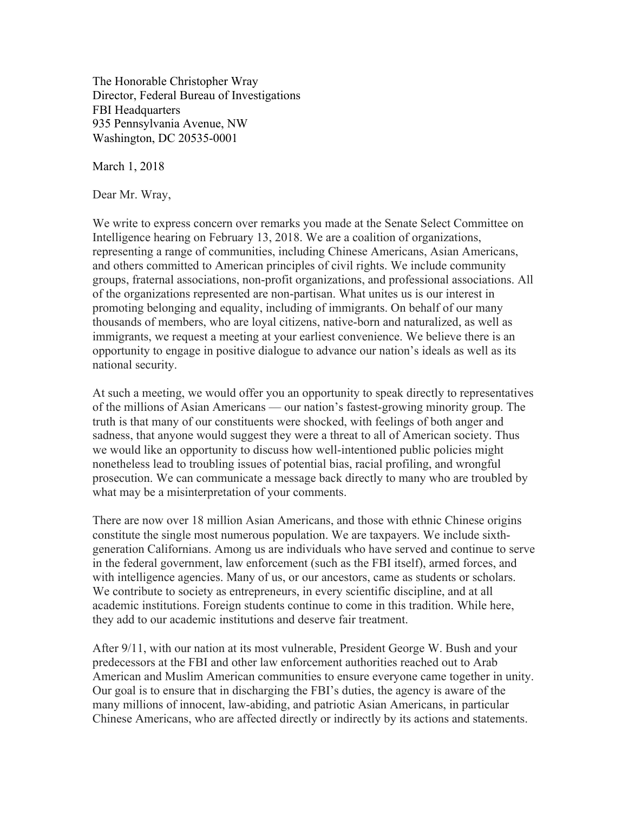The Honorable Christopher Wray Director, Federal Bureau of Investigations FBI Headquarters 935 Pennsylvania Avenue, NW Washington, DC 20535-0001

March 1, 2018

Dear Mr. Wray,

We write to express concern over remarks you made at the Senate Select Committee on Intelligence hearing on February 13, 2018. We are a coalition of organizations, representing a range of communities, including Chinese Americans, Asian Americans, and others committed to American principles of civil rights. We include community groups, fraternal associations, non-profit organizations, and professional associations. All of the organizations represented are non-partisan. What unites us is our interest in promoting belonging and equality, including of immigrants. On behalf of our many thousands of members, who are loyal citizens, native-born and naturalized, as well as immigrants, we request a meeting at your earliest convenience. We believe there is an opportunity to engage in positive dialogue to advance our nation's ideals as well as its national security.

At such a meeting, we would offer you an opportunity to speak directly to representatives of the millions of Asian Americans — our nation's fastest-growing minority group. The truth is that many of our constituents were shocked, with feelings of both anger and sadness, that anyone would suggest they were a threat to all of American society. Thus we would like an opportunity to discuss how well-intentioned public policies might nonetheless lead to troubling issues of potential bias, racial profiling, and wrongful prosecution. We can communicate a message back directly to many who are troubled by what may be a misinterpretation of your comments.

There are now over 18 million Asian Americans, and those with ethnic Chinese origins constitute the single most numerous population. We are taxpayers. We include sixthgeneration Californians. Among us are individuals who have served and continue to serve in the federal government, law enforcement (such as the FBI itself), armed forces, and with intelligence agencies. Many of us, or our ancestors, came as students or scholars. We contribute to society as entrepreneurs, in every scientific discipline, and at all academic institutions. Foreign students continue to come in this tradition. While here, they add to our academic institutions and deserve fair treatment.

After 9/11, with our nation at its most vulnerable, President George W. Bush and your predecessors at the FBI and other law enforcement authorities reached out to Arab American and Muslim American communities to ensure everyone came together in unity. Our goal is to ensure that in discharging the FBI's duties, the agency is aware of the many millions of innocent, law-abiding, and patriotic Asian Americans, in particular Chinese Americans, who are affected directly or indirectly by its actions and statements.